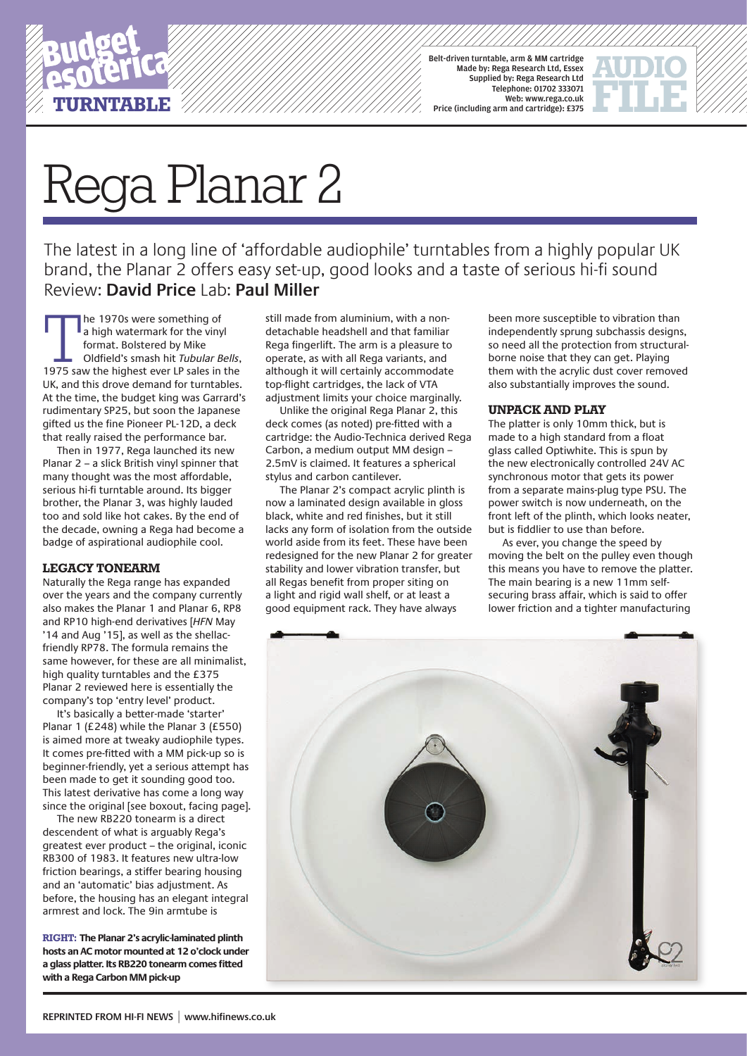

Belt-driven turntable, arm & MM cartridge Made by: Rega Research Ltd, Essex Supplied by: Rega Research Ltd Telephone: 01702 333071 Web: www.rega.co.uk Price (including arm and cartridge): £375

# Rega Planar 2

The latest in a long line of 'affordable audiophile' turntables from a highly popular UK brand, the Planar 2 offers easy set-up, good looks and a taste of serious hi-fi sound Review: **David Price** Lab: **Paul Miller**

The 1970s were something of<br>
a high watermark for the vinyl<br>
format. Bolstered by Mike<br>
Oldfield's smash hit Tubular Bells,<br>
1975 saw the highest ever LP sales in the a high watermark for the vinyl format. Bolstered by Mike Oldfield's smash hit *Tubular Bells*, UK, and this drove demand for turntables. At the time, the budget king was Garrard's rudimentary SP25, but soon the Japanese gifted us the fine Pioneer PL-12D, a deck that really raised the performance bar.

Then in 1977, Rega launched its new Planar 2 – a slick British vinyl spinner that many thought was the most affordable, serious hi-fi turntable around. Its bigger brother, the Planar 3, was highly lauded too and sold like hot cakes. By the end of the decade, owning a Rega had become a badge of aspirational audiophile cool.

## **legacy tonearm**

Naturally the Rega range has expanded over the years and the company currently also makes the Planar 1 and Planar 6, RP8 and RP10 high-end derivatives [*HFN* May '14 and Aug '15], as well as the shellacfriendly RP78. The formula remains the same however, for these are all minimalist, high quality turntables and the £375 Planar 2 reviewed here is essentially the company's top 'entry level' product.

It's basically a better-made 'starter' Planar 1 (£248) while the Planar 3 (£550) is aimed more at tweaky audiophile types. It comes pre-fitted with a MM pick-up so is beginner-friendly, yet a serious attempt has been made to get it sounding good too. This latest derivative has come a long way since the original [see boxout, facing page].

The new RB220 tonearm is a direct descendent of what is arguably Rega's greatest ever product – the original, iconic RB300 of 1983. It features new ultra-low friction bearings, a stiffer bearing housing and an 'automatic' bias adjustment. As before, the housing has an elegant integral armrest and lock. The 9in armtube is

**RIGHT: The Planar 2's acrylic-laminated plinth hosts an AC motor mounted at 12 o'clock under a glass platter. Its RB220 tonearm comes fitted with a Rega Carbon MM pick-up**

still made from aluminium, with a nondetachable headshell and that familiar Rega fingerlift. The arm is a pleasure to operate, as with all Rega variants, and although it will certainly accommodate top-flight cartridges, the lack of VTA adjustment limits your choice marginally.

Unlike the original Rega Planar 2, this deck comes (as noted) pre-fitted with a cartridge: the Audio-Technica derived Rega Carbon, a medium output MM design – 2.5mV is claimed. It features a spherical stylus and carbon cantilever.

The Planar 2's compact acrylic plinth is now a laminated design available in gloss black, white and red finishes, but it still lacks any form of isolation from the outside world aside from its feet. These have been redesigned for the new Planar 2 for greater stability and lower vibration transfer, but all Regas benefit from proper siting on a light and rigid wall shelf, or at least a good equipment rack. They have always

been more susceptible to vibration than independently sprung subchassis designs, so need all the protection from structuralborne noise that they can get. Playing them with the acrylic dust cover removed also substantially improves the sound.

## **unpack and play**

The platter is only 10mm thick, but is made to a high standard from a float glass called Optiwhite. This is spun by the new electronically controlled 24V AC synchronous motor that gets its power from a separate mains-plug type PSU. The power switch is now underneath, on the front left of the plinth, which looks neater, but is fiddlier to use than before.

As ever, you change the speed by moving the belt on the pulley even though this means you have to remove the platter. The main bearing is a new 11mm selfsecuring brass affair, which is said to offer lower friction and a tighter manufacturing

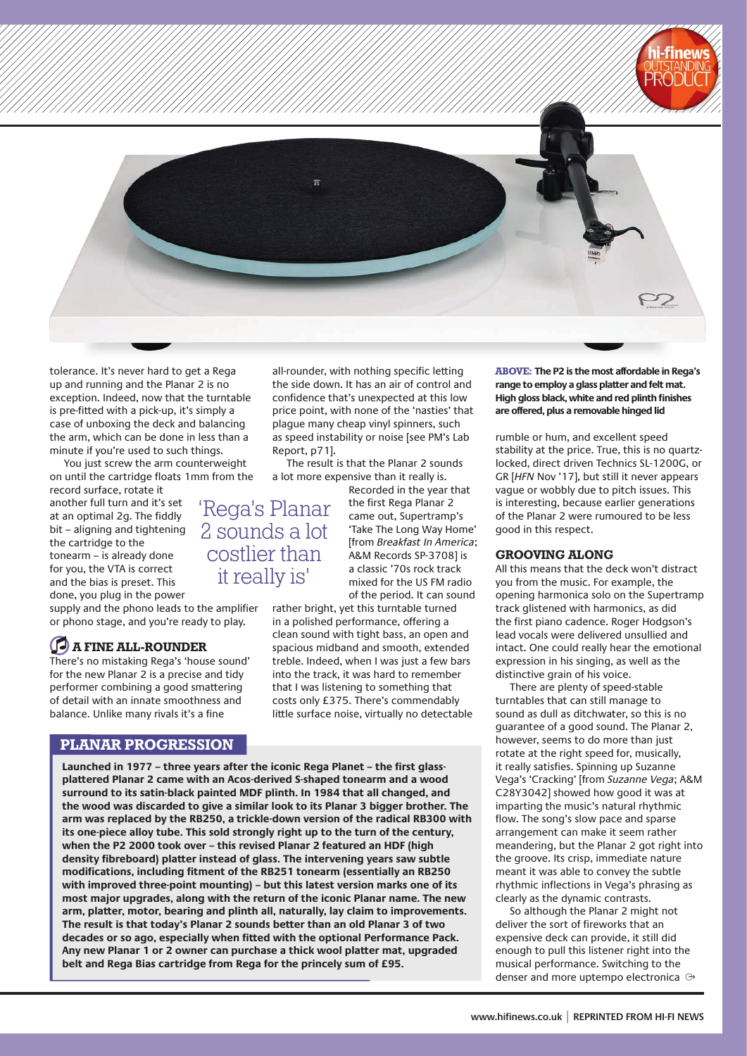

tolerance. It's never hard to get a Rega up and running and the Planar 2 is no exception. Indeed, now that the turntable is pre-fitted with a pick-up, it's simply a case of unboxing the deck and balancing the arm, which can be done in less than a minute if you're used to such things.

You just screw the arm counterweight on until the cartridge floats 1mm from the

record surface, rotate it another full turn and it's set at an optimal 2g. The fiddly bit – aligning and tightening the cartridge to the tonearm – is already done for you, the VTA is correct and the bias is preset. This done, you plug in the power

supply and the phono leads to the amplifier or phono stage, and you're ready to play.

## **a fine all-rounder**

There's no mistaking Rega's 'house sound' for the new Planar 2 is a precise and tidy performer combining a good smattering of detail with an innate smoothness and balance. Unlike many rivals it's a fine

## **PLANAR PROGRESSION**

**Launched in 1977 – three years after the iconic Rega Planet – the first glassplattered Planar 2 came with an Acos-derived S-shaped tonearm and a wood surround to its satin-black painted MDF plinth. In 1984 that all changed, and the wood was discarded to give a similar look to its Planar 3 bigger brother. The arm was replaced by the RB250, a trickle-down version of the radical RB300 with its one-piece alloy tube. This sold strongly right up to the turn of the century, when the P2 2000 took over – this revised Planar 2 featured an HDF (high density fibreboard) platter instead of glass. The intervening years saw subtle modifications, including fitment of the RB251 tonearm (essentially an RB250 with improved three-point mounting) – but this latest version marks one of its most major upgrades, along with the return of the iconic Planar name. The new arm, platter, motor, bearing and plinth all, naturally, lay claim to improvements. The result is that today's Planar 2 sounds better than an old Planar 3 of two decades or so ago, especially when fitted with the optional Performance Pack. Any new Planar 1 or 2 owner can purchase a thick wool platter mat, upgraded belt and Rega Bias cartridge from Rega for the princely sum of £95.**

all-rounder, with nothing specific letting the side down. It has an air of control and confidence that's unexpected at this low price point, with none of the 'nasties' that plague many cheap vinyl spinners, such as speed instability or noise [see PM's Lab Report, p71].

The result is that the Planar 2 sounds a lot more expensive than it really is.

Recorded in the year that the first Rega Planar 2 came out, Supertramp's 'Take The Long Way Home' [from *Breakfast In America*; A&M Records SP-3708] is a classic '70s rock track mixed for the US FM radio of the period. It can sound

rather bright, yet this turntable turned in a polished performance, offering a clean sound with tight bass, an open and spacious midband and smooth, extended treble. Indeed, when I was just a few bars into the track, it was hard to remember that I was listening to something that costs only £375. There's commendably little surface noise, virtually no detectable **ABOVE: The P2 is the most affordable in Rega's range to employ a glass platter and felt mat. High gloss black, white and red plinth finishes are offered, plus a removable hinged lid**

rumble or hum, and excellent speed stability at the price. True, this is no quartzlocked, direct driven Technics SL-1200G, or GR [*HFN* Nov '17], but still it never appears vague or wobbly due to pitch issues. This is interesting, because earlier generations of the Planar 2 were rumoured to be less good in this respect.

#### **grooving along**

All this means that the deck won't distract you from the music. For example, the opening harmonica solo on the Supertramp track glistened with harmonics, as did the first piano cadence. Roger Hodgson's lead vocals were delivered unsullied and intact. One could really hear the emotional expression in his singing, as well as the distinctive grain of his voice.

There are plenty of speed-stable turntables that can still manage to sound as dull as ditchwater, so this is no guarantee of a good sound. The Planar 2, however, seems to do more than just rotate at the right speed for, musically, it really satisfies. Spinning up Suzanne Vega's 'Cracking' [from *Suzanne Vega*; A&M C28Y3042] showed how good it was at imparting the music's natural rhythmic flow. The song's slow pace and sparse arrangement can make it seem rather meandering, but the Planar 2 got right into the groove. Its crisp, immediate nature meant it was able to convey the subtle rhythmic inflections in Vega's phrasing as clearly as the dynamic contrasts.

So although the Planar 2 might not deliver the sort of fireworks that an expensive deck can provide, it still did enough to pull this listener right into the musical performance. Switching to the denser and more uptempo electronica

'Rega's Planar 2 sounds a lot costlier than it really is'